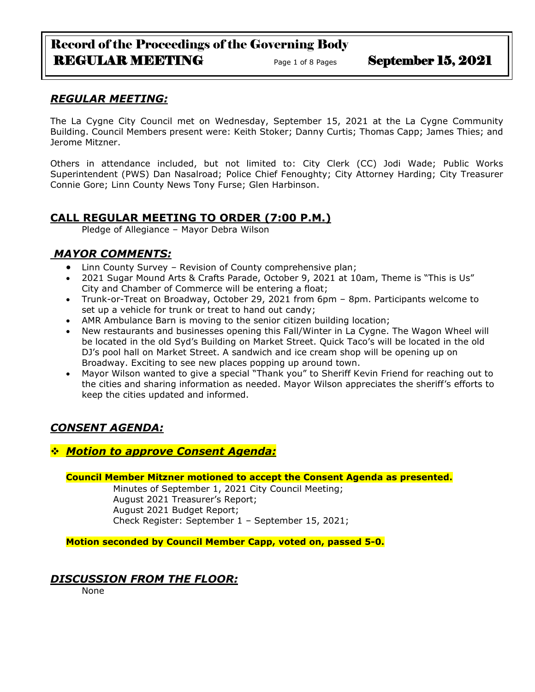# Record of the Proceedings of the Governing Body REGULAR MEETING<br>
Page 1 of 8 Pages<br>
September 15, 2021

## *REGULAR MEETING:*

The La Cygne City Council met on Wednesday, September 15, 2021 at the La Cygne Community Building. Council Members present were: Keith Stoker; Danny Curtis; Thomas Capp; James Thies; and Jerome Mitzner.

Others in attendance included, but not limited to: City Clerk (CC) Jodi Wade; Public Works Superintendent (PWS) Dan Nasalroad; Police Chief Fenoughty; City Attorney Harding; City Treasurer Connie Gore; Linn County News Tony Furse; Glen Harbinson.

# **CALL REGULAR MEETING TO ORDER (7:00 P.M.)**

Pledge of Allegiance – Mayor Debra Wilson

# *MAYOR COMMENTS:*

- Linn County Survey Revision of County comprehensive plan;
- 2021 Sugar Mound Arts & Crafts Parade, October 9, 2021 at 10am, Theme is "This is Us" City and Chamber of Commerce will be entering a float;
- Trunk-or-Treat on Broadway, October 29, 2021 from 6pm 8pm. Participants welcome to set up a vehicle for trunk or treat to hand out candy;
- AMR Ambulance Barn is moving to the senior citizen building location;
- New restaurants and businesses opening this Fall/Winter in La Cygne. The Wagon Wheel will be located in the old Syd's Building on Market Street. Quick Taco's will be located in the old DJ's pool hall on Market Street. A sandwich and ice cream shop will be opening up on Broadway. Exciting to see new places popping up around town.
- Mayor Wilson wanted to give a special "Thank you" to Sheriff Kevin Friend for reaching out to the cities and sharing information as needed. Mayor Wilson appreciates the sheriff's efforts to keep the cities updated and informed.

# *CONSENT AGENDA:*

## ❖ *Motion to approve Consent Agenda:*

**Council Member Mitzner motioned to accept the Consent Agenda as presented.**

Minutes of September 1, 2021 City Council Meeting; August 2021 Treasurer's Report; August 2021 Budget Report; Check Register: September 1 – September 15, 2021;

**Motion seconded by Council Member Capp, voted on, passed 5-0.** 

## *DISCUSSION FROM THE FLOOR:*

None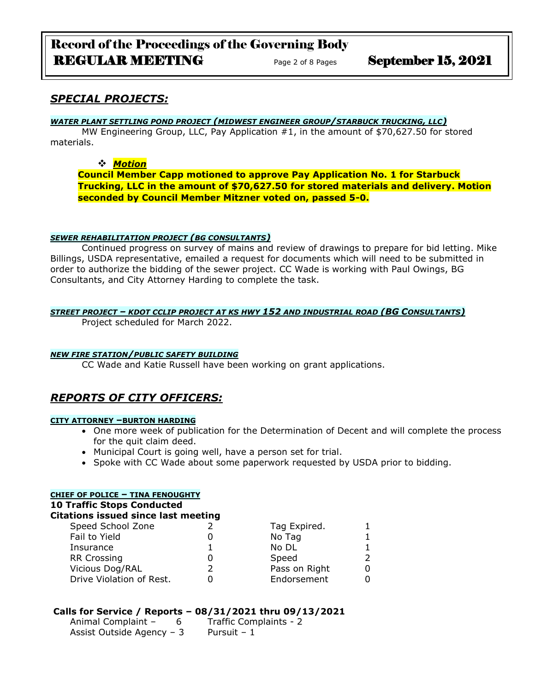# Record of the Proceedings of the Governing Body REGULAR MEETING<br>
Page 2 of 8 Pages<br>
September 15, 2021

## *SPECIAL PROJECTS:*

#### *WATER PLANT SETTLING POND PROJECT (MIDWEST ENGINEER GROUP/STARBUCK TRUCKING, LLC)*

MW Engineering Group, LLC, Pay Application #1, in the amount of \$70,627.50 for stored materials.

#### ❖ *Motion*

**Council Member Capp motioned to approve Pay Application No. 1 for Starbuck Trucking, LLC in the amount of \$70,627.50 for stored materials and delivery. Motion seconded by Council Member Mitzner voted on, passed 5-0.**

#### *SEWER REHABILITATION PROJECT (BG CONSULTANTS)*

Continued progress on survey of mains and review of drawings to prepare for bid letting. Mike Billings, USDA representative, emailed a request for documents which will need to be submitted in order to authorize the bidding of the sewer project. CC Wade is working with Paul Owings, BG Consultants, and City Attorney Harding to complete the task.

#### *STREET PROJECT – KDOT CCLIP PROJECT AT KS HWY 152 AND INDUSTRIAL ROAD (BG CONSULTANTS)*

Project scheduled for March 2022.

#### *NEW FIRE STATION/PUBLIC SAFETY BUILDING*

CC Wade and Katie Russell have been working on grant applications.

# *REPORTS OF CITY OFFICERS:*

#### **CITY ATTORNEY –BURTON HARDING**

- One more week of publication for the Determination of Decent and will complete the process for the quit claim deed.
- Municipal Court is going well, have a person set for trial.
- Spoke with CC Wade about some paperwork requested by USDA prior to bidding.

| <b>CHIEF OF POLICE - TINA FENOUGHTY</b>    |  |               |               |  |  |
|--------------------------------------------|--|---------------|---------------|--|--|
| <b>10 Traffic Stops Conducted</b>          |  |               |               |  |  |
| <b>Citations issued since last meeting</b> |  |               |               |  |  |
| Speed School Zone                          |  | Tag Expired.  |               |  |  |
| Fail to Yield                              |  | No Tag        |               |  |  |
| Insurance                                  |  | No DL         |               |  |  |
| <b>RR Crossing</b>                         |  | Speed         | $\mathcal{P}$ |  |  |
| Vicious Dog/RAL                            |  | Pass on Right | 0             |  |  |
| Drive Violation of Rest.                   |  | Endorsement   | 0             |  |  |
|                                            |  |               |               |  |  |

### **Calls for Service / Reports – 08/31/2021 thru 09/13/2021**

| Animal Complaint -        | Traffic Complaints - 2 |
|---------------------------|------------------------|
| Assist Outside Agency - 3 | Pursuit - 1            |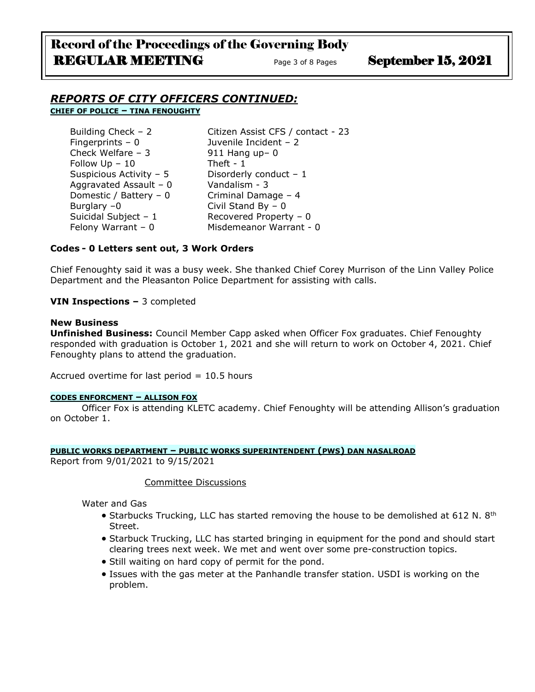# Record of the Proceedings of the Governing Body REGULAR MEETING Page 3 of 8 Pages September 15, 2021

### *REPORTS OF CITY OFFICERS CONTINUED:* **CHIEF OF POLICE – TINA FENOUGHTY**

| Building Check - 2       | Citizen Assist CFS / contact - 23 |
|--------------------------|-----------------------------------|
| Fingerprints $-0$        | Juvenile Incident - 2             |
| Check Welfare $-3$       | 911 Hang up-0                     |
| Follow $Up - 10$         | Theft - $1$                       |
| Suspicious Activity - 5  | Disorderly conduct $-1$           |
| Aggravated Assault - $0$ | Vandalism - 3                     |
| Domestic / Battery - 0   | Criminal Damage - 4               |
| Burglary $-0$            | Civil Stand By $-0$               |
| Suicidal Subject - 1     | Recovered Property - 0            |
| Felony Warrant $-0$      | Misdemeanor Warrant - 0           |

#### **Codes - 0 Letters sent out, 3 Work Orders**

Chief Fenoughty said it was a busy week. She thanked Chief Corey Murrison of the Linn Valley Police Department and the Pleasanton Police Department for assisting with calls.

#### **VIN Inspections –** 3 completed

#### **New Business**

**Unfinished Business:** Council Member Capp asked when Officer Fox graduates. Chief Fenoughty responded with graduation is October 1, 2021 and she will return to work on October 4, 2021. Chief Fenoughty plans to attend the graduation.

Accrued overtime for last period  $= 10.5$  hours

#### **CODES ENFORCMENT – ALLISON FOX**

Officer Fox is attending KLETC academy. Chief Fenoughty will be attending Allison's graduation on October 1.

#### **PUBLIC WORKS DEPARTMENT – PUBLIC WORKS SUPERINTENDENT (PWS) DAN NASALROAD** Report from 9/01/2021 to 9/15/2021

#### Committee Discussions

Water and Gas

- Starbucks Trucking, LLC has started removing the house to be demolished at 612 N.  $8<sup>th</sup>$ Street.
- Starbuck Trucking, LLC has started bringing in equipment for the pond and should start clearing trees next week. We met and went over some pre-construction topics.
- Still waiting on hard copy of permit for the pond.
- Issues with the gas meter at the Panhandle transfer station. USDI is working on the problem.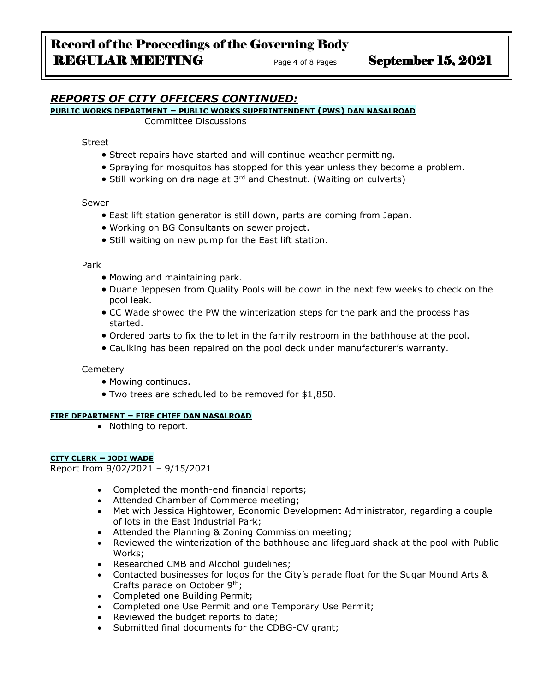# *REPORTS OF CITY OFFICERS CONTINUED:*

### **PUBLIC WORKS DEPARTMENT – PUBLIC WORKS SUPERINTENDENT (PWS) DAN NASALROAD**

Committee Discussions

Street

- Street repairs have started and will continue weather permitting.
- Spraying for mosquitos has stopped for this year unless they become a problem.
- Still working on drainage at 3<sup>rd</sup> and Chestnut. (Waiting on culverts)

#### Sewer

- East lift station generator is still down, parts are coming from Japan.
- Working on BG Consultants on sewer project.
- Still waiting on new pump for the East lift station.

#### Park

- Mowing and maintaining park.
- Duane Jeppesen from Quality Pools will be down in the next few weeks to check on the pool leak.
- CC Wade showed the PW the winterization steps for the park and the process has started.
- Ordered parts to fix the toilet in the family restroom in the bathhouse at the pool.
- Caulking has been repaired on the pool deck under manufacturer's warranty.

#### **Cemetery**

- Mowing continues.
- Two trees are scheduled to be removed for \$1,850.

#### **FIRE DEPARTMENT – FIRE CHIEF DAN NASALROAD**

• Nothing to report.

#### **CITY CLERK – JODI WADE**

Report from 9/02/2021 – 9/15/2021

- Completed the month-end financial reports;
- Attended Chamber of Commerce meeting;
- Met with Jessica Hightower, Economic Development Administrator, regarding a couple of lots in the East Industrial Park;
- Attended the Planning & Zoning Commission meeting;
- Reviewed the winterization of the bathhouse and lifeguard shack at the pool with Public Works;
- Researched CMB and Alcohol guidelines;
- Contacted businesses for logos for the City's parade float for the Sugar Mound Arts & Crafts parade on October 9th;
- Completed one Building Permit;
- Completed one Use Permit and one Temporary Use Permit;
- Reviewed the budget reports to date;
- Submitted final documents for the CDBG-CV grant;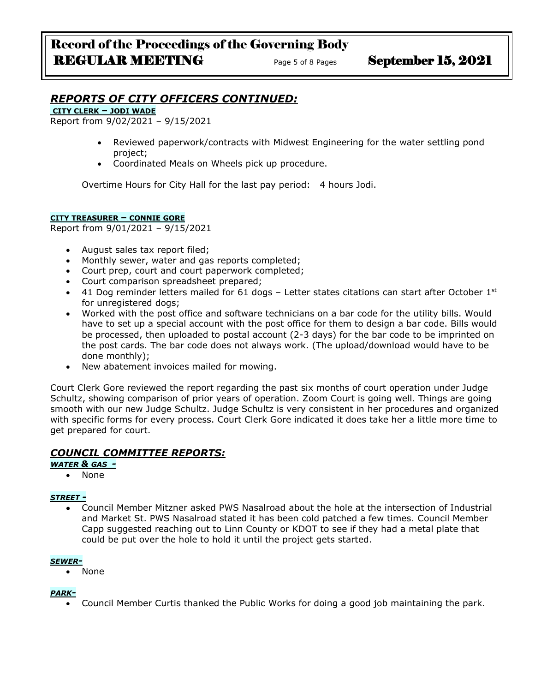## *REPORTS OF CITY OFFICERS CONTINUED:*

**CITY CLERK – JODI WADE**

Report from 9/02/2021 – 9/15/2021

- Reviewed paperwork/contracts with Midwest Engineering for the water settling pond project;
- Coordinated Meals on Wheels pick up procedure.

Overtime Hours for City Hall for the last pay period: 4 hours Jodi.

#### **CITY TREASURER – CONNIE GORE**

Report from 9/01/2021 – 9/15/2021

- August sales tax report filed;
- Monthly sewer, water and gas reports completed;
- Court prep, court and court paperwork completed;
- Court comparison spreadsheet prepared;
- 41 Dog reminder letters mailed for 61 dogs Letter states citations can start after October  $1<sup>st</sup>$ for unregistered dogs;
- Worked with the post office and software technicians on a bar code for the utility bills. Would have to set up a special account with the post office for them to design a bar code. Bills would be processed, then uploaded to postal account (2-3 days) for the bar code to be imprinted on the post cards. The bar code does not always work. (The upload/download would have to be done monthly);
- New abatement invoices mailed for mowing.

Court Clerk Gore reviewed the report regarding the past six months of court operation under Judge Schultz, showing comparison of prior years of operation. Zoom Court is going well. Things are going smooth with our new Judge Schultz. Judge Schultz is very consistent in her procedures and organized with specific forms for every process. Court Clerk Gore indicated it does take her a little more time to get prepared for court.

### *COUNCIL COMMITTEE REPORTS:*

*WATER & GAS -*

• None

#### *STREET -*

• Council Member Mitzner asked PWS Nasalroad about the hole at the intersection of Industrial and Market St. PWS Nasalroad stated it has been cold patched a few times. Council Member Capp suggested reaching out to Linn County or KDOT to see if they had a metal plate that could be put over the hole to hold it until the project gets started.

#### *SEWER-*

• None

#### *PARK-*

• Council Member Curtis thanked the Public Works for doing a good job maintaining the park.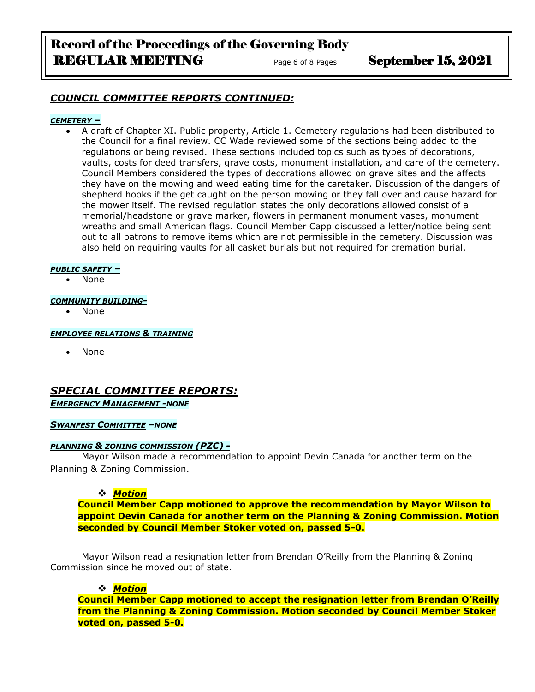# Record of the Proceedings of the Governing Body REGULAR MEETING<br>
Page 6 of 8 Pages<br>
September 15, 2021

### *COUNCIL COMMITTEE REPORTS CONTINUED:*

### *CEMETERY –*

• A draft of Chapter XI. Public property, Article 1. Cemetery regulations had been distributed to the Council for a final review. CC Wade reviewed some of the sections being added to the regulations or being revised. These sections included topics such as types of decorations, vaults, costs for deed transfers, grave costs, monument installation, and care of the cemetery. Council Members considered the types of decorations allowed on grave sites and the affects they have on the mowing and weed eating time for the caretaker. Discussion of the dangers of shepherd hooks if the get caught on the person mowing or they fall over and cause hazard for the mower itself. The revised regulation states the only decorations allowed consist of a memorial/headstone or grave marker, flowers in permanent monument vases, monument wreaths and small American flags. Council Member Capp discussed a letter/notice being sent out to all patrons to remove items which are not permissible in the cemetery. Discussion was also held on requiring vaults for all casket burials but not required for cremation burial.

#### *PUBLIC SAFETY –*

• None

#### *COMMUNITY BUILDING-*

• None

#### *EMPLOYEE RELATIONS & TRAINING*

• None

### *SPECIAL COMMITTEE REPORTS: EMERGENCY MANAGEMENT -NONE*

### *SWANFEST COMMITTEE –NONE*

### *PLANNING & ZONING COMMISSION (PZC) -*

Mayor Wilson made a recommendation to appoint Devin Canada for another term on the Planning & Zoning Commission.

### ❖ *Motion*

**Council Member Capp motioned to approve the recommendation by Mayor Wilson to appoint Devin Canada for another term on the Planning & Zoning Commission. Motion seconded by Council Member Stoker voted on, passed 5-0.**

Mayor Wilson read a resignation letter from Brendan O'Reilly from the Planning & Zoning Commission since he moved out of state.

### ❖ *Motion*

**Council Member Capp motioned to accept the resignation letter from Brendan O'Reilly from the Planning & Zoning Commission. Motion seconded by Council Member Stoker voted on, passed 5-0.**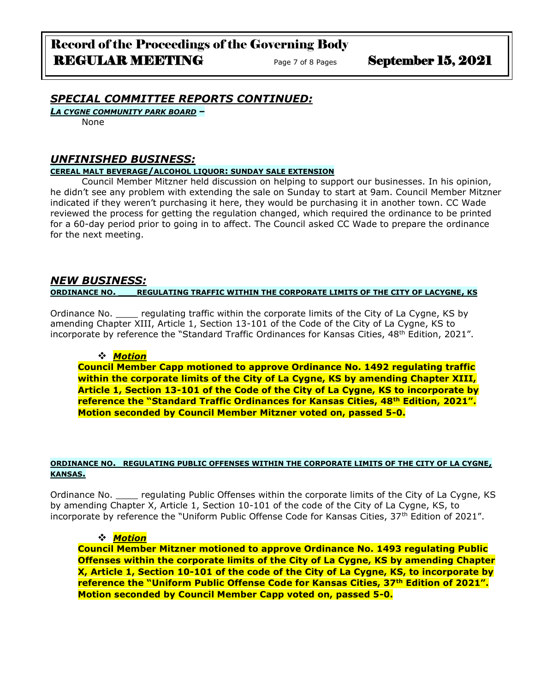## *SPECIAL COMMITTEE REPORTS CONTINUED:*

*LA CYGNE COMMUNITY PARK BOARD –*

None

### *UNFINISHED BUSINESS:*

### **CEREAL MALT BEVERAGE/ALCOHOL LIQUOR: SUNDAY SALE EXTENSION**

Council Member Mitzner held discussion on helping to support our businesses. In his opinion, he didn't see any problem with extending the sale on Sunday to start at 9am. Council Member Mitzner indicated if they weren't purchasing it here, they would be purchasing it in another town. CC Wade reviewed the process for getting the regulation changed, which required the ordinance to be printed for a 60-day period prior to going in to affect. The Council asked CC Wade to prepare the ordinance for the next meeting.

### *NEW BUSINESS:* **ORDINANCE NO. \_\_\_REGULATING TRAFFIC WITHIN THE CORPORATE LIMITS OF THE CITY OF LACYGNE, KS**

Ordinance No. Equilating traffic within the corporate limits of the City of La Cygne, KS by amending Chapter XIII, Article 1, Section 13-101 of the Code of the City of La Cygne, KS to incorporate by reference the "Standard Traffic Ordinances for Kansas Cities,  $48<sup>th</sup>$  Edition, 2021".

### ❖ *Motion*

**Council Member Capp motioned to approve Ordinance No. 1492 regulating traffic within the corporate limits of the City of La Cygne, KS by amending Chapter XIII, Article 1, Section 13-101 of the Code of the City of La Cygne, KS to incorporate by reference the "Standard Traffic Ordinances for Kansas Cities, 48th Edition, 2021". Motion seconded by Council Member Mitzner voted on, passed 5-0.**

#### **ORDINANCE NO. REGULATING PUBLIC OFFENSES WITHIN THE CORPORATE LIMITS OF THE CITY OF LA CYGNE, KANSAS.**

Ordinance No. \_\_\_\_ regulating Public Offenses within the corporate limits of the City of La Cygne, KS by amending Chapter X, Article 1, Section 10-101 of the code of the City of La Cygne, KS, to incorporate by reference the "Uniform Public Offense Code for Kansas Cities, 37<sup>th</sup> Edition of 2021".

### ❖ *Motion*

**Council Member Mitzner motioned to approve Ordinance No. 1493 regulating Public Offenses within the corporate limits of the City of La Cygne, KS by amending Chapter X, Article 1, Section 10-101 of the code of the City of La Cygne, KS, to incorporate by reference the "Uniform Public Offense Code for Kansas Cities, 37th Edition of 2021". Motion seconded by Council Member Capp voted on, passed 5-0.**